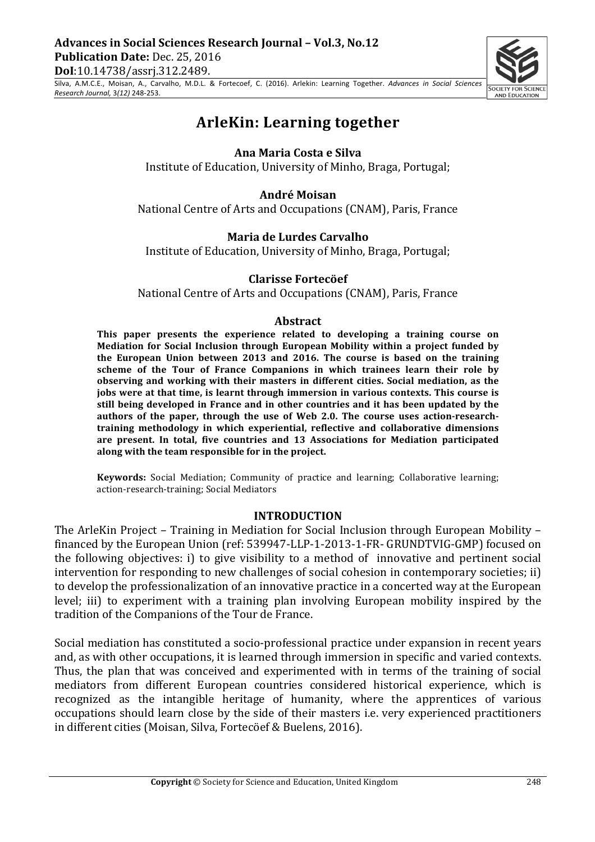**AND EDUCATION** 

Silva, A.M.C.E., Moisan, A., Carvalho, M.D.L. & Fortecoef, C. (2016). Arlekin: Learning Together. Advances in Social Sciences *Research Journal,* 3*(12)* 248-253.

# **ArleKin: Learning together**

# **Ana Maria Costa e Silva**

Institute of Education, University of Minho, Braga, Portugal;

# **André Moisan**

National Centre of Arts and Occupations (CNAM), Paris, France

# **Maria de Lurdes Carvalho**

Institute of Education, University of Minho, Braga, Portugal;

# **Clarisse Fortecöef**

National Centre of Arts and Occupations (CNAM), Paris, France

#### **Abstract**

This paper presents the experience related to developing a training course on **Mediation for Social Inclusion through European Mobility within a project funded by the European Union between 2013 and 2016. The course is based on the training** scheme of the Tour of France Companions in which trainees learn their role by observing and working with their masters in different cities. Social mediation, as the jobs were at that time, is learnt through immersion in various contexts. This course is still being developed in France and in other countries and it has been updated by the authors of the paper, through the use of Web 2.0. The course uses action-researchtraining methodology in which experiential, reflective and collaborative dimensions are present. In total, five countries and 13 Associations for Mediation participated along with the team responsible for in the project.

**Keywords:** Social Mediation; Community of practice and learning; Collaborative learning; action-research-training; Social Mediators

#### **INTRODUCTION**

The ArleKin Project – Training in Mediation for Social Inclusion through European Mobility – financed by the European Union (ref: 539947-LLP-1-2013-1-FR- GRUNDTVIG-GMP) focused on the following objectives: i) to give visibility to a method of innovative and pertinent social intervention for responding to new challenges of social cohesion in contemporary societies; ii) to develop the professionalization of an innovative practice in a concerted way at the European level; iii) to experiment with a training plan involving European mobility inspired by the tradition of the Companions of the Tour de France.

Social mediation has constituted a socio-professional practice under expansion in recent years and, as with other occupations, it is learned through immersion in specific and varied contexts. Thus, the plan that was conceived and experimented with in terms of the training of social mediators from different European countries considered historical experience, which is recognized as the intangible heritage of humanity, where the apprentices of various occupations should learn close by the side of their masters *i.e.* very experienced practitioners in different cities (Moisan, Silva, Fortecöef & Buelens, 2016).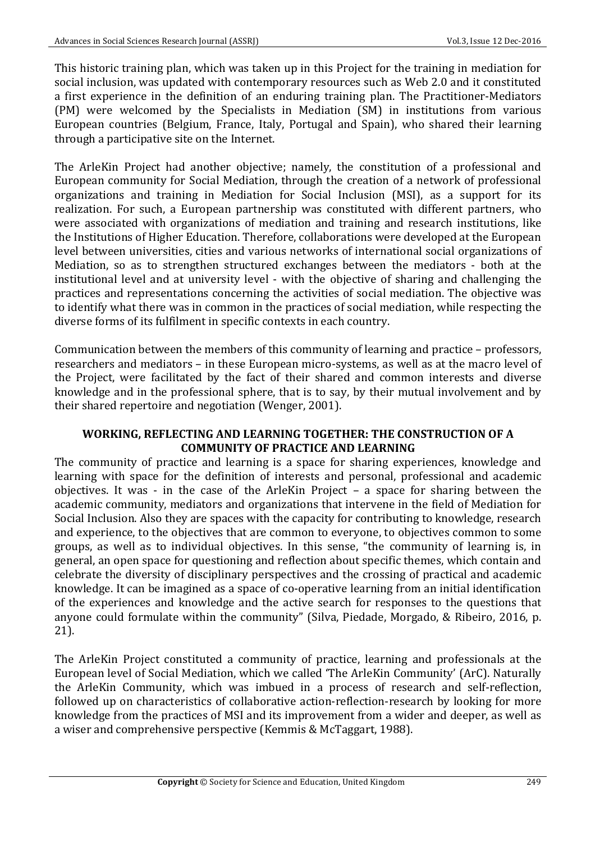This historic training plan, which was taken up in this Project for the training in mediation for social inclusion, was updated with contemporary resources such as Web 2.0 and it constituted a first experience in the definition of an enduring training plan. The Practitioner-Mediators (PM) were welcomed by the Specialists in Mediation (SM) in institutions from various European countries (Belgium, France, Italy, Portugal and Spain), who shared their learning through a participative site on the Internet.

The ArleKin Project had another objective; namely, the constitution of a professional and European community for Social Mediation, through the creation of a network of professional organizations and training in Mediation for Social Inclusion (MSI), as a support for its realization. For such, a European partnership was constituted with different partners, who were associated with organizations of mediation and training and research institutions, like the Institutions of Higher Education. Therefore, collaborations were developed at the European level between universities, cities and various networks of international social organizations of Mediation, so as to strengthen structured exchanges between the mediators - both at the institutional level and at university level - with the objective of sharing and challenging the practices and representations concerning the activities of social mediation. The objective was to identify what there was in common in the practices of social mediation, while respecting the diverse forms of its fulfilment in specific contexts in each country.

Communication between the members of this community of learning and practice – professors, researchers and mediators – in these European micro-systems, as well as at the macro level of the Project, were facilitated by the fact of their shared and common interests and diverse knowledge and in the professional sphere, that is to say, by their mutual involvement and by their shared repertoire and negotiation (Wenger, 2001).

#### WORKING, REFLECTING AND LEARNING TOGETHER: THE CONSTRUCTION OF A **COMMUNITY OF PRACTICE AND LEARNING**

The community of practice and learning is a space for sharing experiences, knowledge and learning with space for the definition of interests and personal, professional and academic objectives. It was - in the case of the ArleKin Project  $-$  a space for sharing between the academic community, mediators and organizations that intervene in the field of Mediation for Social Inclusion. Also they are spaces with the capacity for contributing to knowledge, research and experience, to the objectives that are common to everyone, to objectives common to some groups, as well as to individual objectives. In this sense, "the community of learning is, in general, an open space for questioning and reflection about specific themes, which contain and celebrate the diversity of disciplinary perspectives and the crossing of practical and academic knowledge. It can be imagined as a space of co-operative learning from an initial identification of the experiences and knowledge and the active search for responses to the questions that anyone could formulate within the community" (Silva, Piedade, Morgado, & Ribeiro, 2016, p. 21).

The ArleKin Project constituted a community of practice, learning and professionals at the European level of Social Mediation, which we called 'The ArleKin Community' (ArC). Naturally the ArleKin Community, which was imbued in a process of research and self-reflection, followed up on characteristics of collaborative action-reflection-research by looking for more knowledge from the practices of MSI and its improvement from a wider and deeper, as well as a wiser and comprehensive perspective (Kemmis & McTaggart, 1988).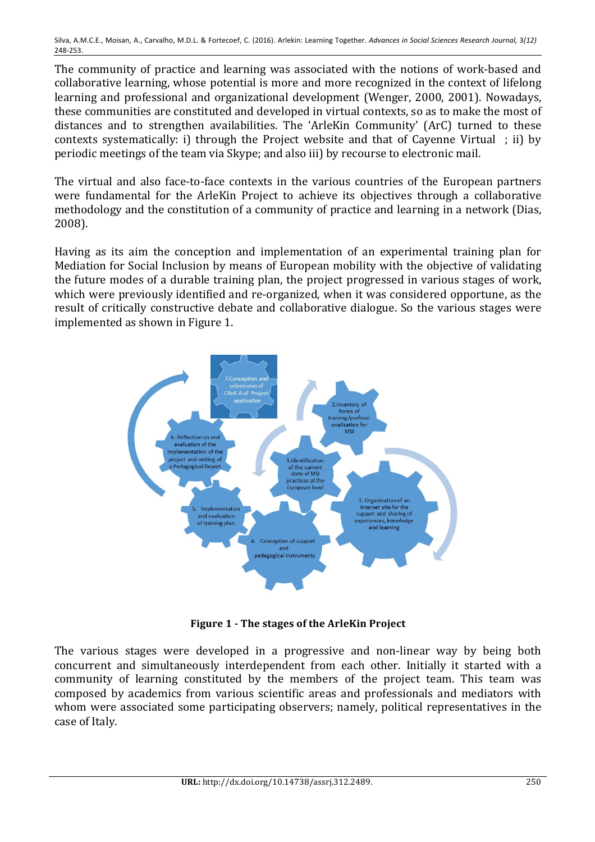Silva, A.M.C.E., Moisan, A., Carvalho, M.D.L. & Fortecoef, C. (2016). Arlekin: Learning Together. Advances in Social Sciences Research Journal, 3(12) 248-253.

The community of practice and learning was associated with the notions of work-based and collaborative learning, whose potential is more and more recognized in the context of lifelong learning and professional and organizational development (Wenger, 2000, 2001). Nowadays, these communities are constituted and developed in virtual contexts, so as to make the most of distances and to strengthen availabilities. The 'ArleKin Community' (ArC) turned to these contexts systematically: i) through the Project website and that of Cayenne Virtual  $\cdot$  ii) by periodic meetings of the team via Skype; and also iii) by recourse to electronic mail.

The virtual and also face-to-face contexts in the various countries of the European partners were fundamental for the ArleKin Project to achieve its objectives through a collaborative methodology and the constitution of a community of practice and learning in a network (Dias, 2008).

Having as its aim the conception and implementation of an experimental training plan for Mediation for Social Inclusion by means of European mobility with the objective of validating the future modes of a durable training plan, the project progressed in various stages of work, which were previously identified and re-organized, when it was considered opportune, as the result of critically constructive debate and collaborative dialogue. So the various stages were implemented as shown in Figure 1.



**Figure 1 - The stages of the ArleKin Project** 

The various stages were developed in a progressive and non-linear way by being both concurrent and simultaneously interdependent from each other. Initially it started with a community of learning constituted by the members of the project team. This team was composed by academics from various scientific areas and professionals and mediators with whom were associated some participating observers; namely, political representatives in the case of Italy.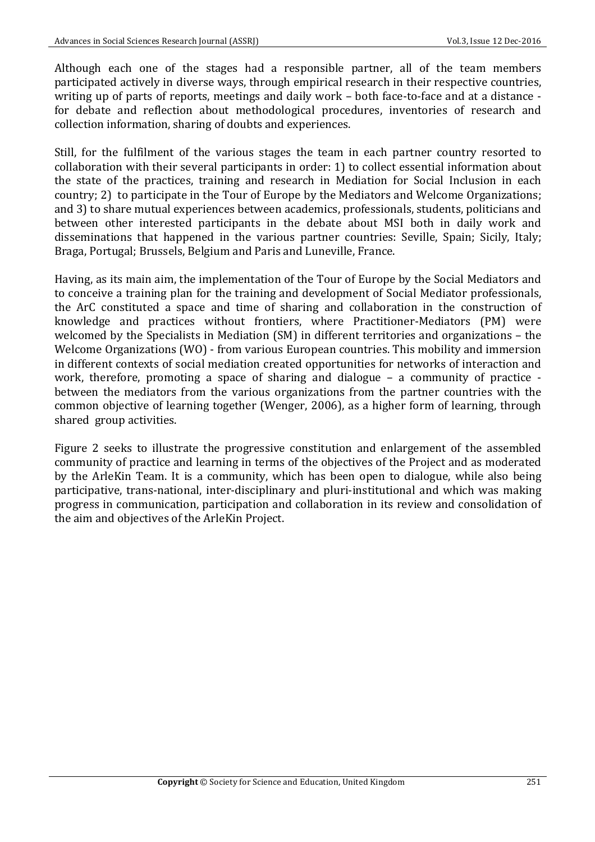Although each one of the stages had a responsible partner, all of the team members participated actively in diverse ways, through empirical research in their respective countries, writing up of parts of reports, meetings and daily work – both face-to-face and at a distance for debate and reflection about methodological procedures, inventories of research and collection information, sharing of doubts and experiences.

Still, for the fulfilment of the various stages the team in each partner country resorted to collaboration with their several participants in order: 1) to collect essential information about the state of the practices, training and research in Mediation for Social Inclusion in each country; 2) to participate in the Tour of Europe by the Mediators and Welcome Organizations; and 3) to share mutual experiences between academics, professionals, students, politicians and between other interested participants in the debate about MSI both in daily work and disseminations that happened in the various partner countries: Seville, Spain: Sicily, Italy; Braga, Portugal; Brussels, Belgium and Paris and Luneville, France.

Having, as its main aim, the implementation of the Tour of Europe by the Social Mediators and to conceive a training plan for the training and development of Social Mediator professionals, the ArC constituted a space and time of sharing and collaboration in the construction of knowledge and practices without frontiers, where Practitioner-Mediators (PM) were welcomed by the Specialists in Mediation  $(SM)$  in different territories and organizations – the Welcome Organizations (WO) - from various European countries. This mobility and immersion in different contexts of social mediation created opportunities for networks of interaction and work, therefore, promoting a space of sharing and dialogue  $-$  a community of practice  $$ between the mediators from the various organizations from the partner countries with the common objective of learning together (Wenger, 2006), as a higher form of learning, through shared group activities.

Figure 2 seeks to illustrate the progressive constitution and enlargement of the assembled community of practice and learning in terms of the objectives of the Project and as moderated by the ArleKin Team. It is a community, which has been open to dialogue, while also being participative, trans-national, inter-disciplinary and pluri-institutional and which was making progress in communication, participation and collaboration in its review and consolidation of the aim and objectives of the ArleKin Project.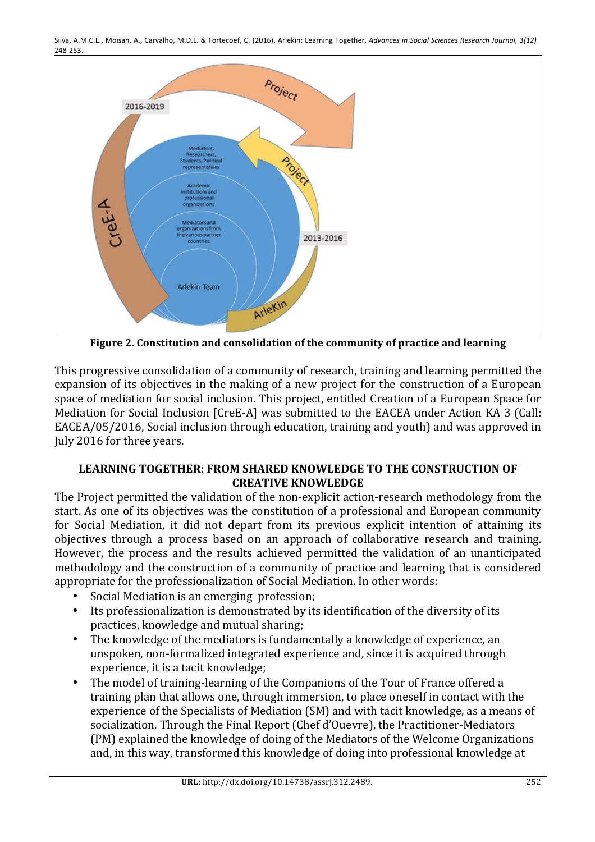

**Figure 2. Constitution and consolidation of the community of practice and learning** 

This progressive consolidation of a community of research, training and learning permitted the expansion of its objectives in the making of a new project for the construction of a European space of mediation for social inclusion. This project, entitled Creation of a European Space for Mediation for Social Inclusion [CreE-A] was submitted to the EACEA under Action KA 3 (Call: EACEA/05/2016, Social inclusion through education, training and youth) and was approved in July 2016 for three years.

# LEARNING TOGETHER: FROM SHARED KNOWLEDGE TO THE CONSTRUCTION OF **CREATIVE KNOWLEDGE**

The Project permitted the validation of the non-explicit action-research methodology from the start. As one of its objectives was the constitution of a professional and European community for Social Mediation, it did not depart from its previous explicit intention of attaining its objectives through a process based on an approach of collaborative research and training. However, the process and the results achieved permitted the validation of an unanticipated methodology and the construction of a community of practice and learning that is considered appropriate for the professionalization of Social Mediation. In other words:

- Social Mediation is an emerging profession;
- Its professionalization is demonstrated by its identification of the diversity of its practices, knowledge and mutual sharing;
- The knowledge of the mediators is fundamentally a knowledge of experience, an unspoken, non-formalized integrated experience and, since it is acquired through experience, it is a tacit knowledge;
- The model of training-learning of the Companions of the Tour of France offered a training plan that allows one, through immersion, to place oneself in contact with the experience of the Specialists of Mediation (SM) and with tacit knowledge, as a means of socialization. Through the Final Report (Chef d'Ouevre), the Practitioner-Mediators (PM) explained the knowledge of doing of the Mediators of the Welcome Organizations and, in this way, transformed this knowledge of doing into professional knowledge at